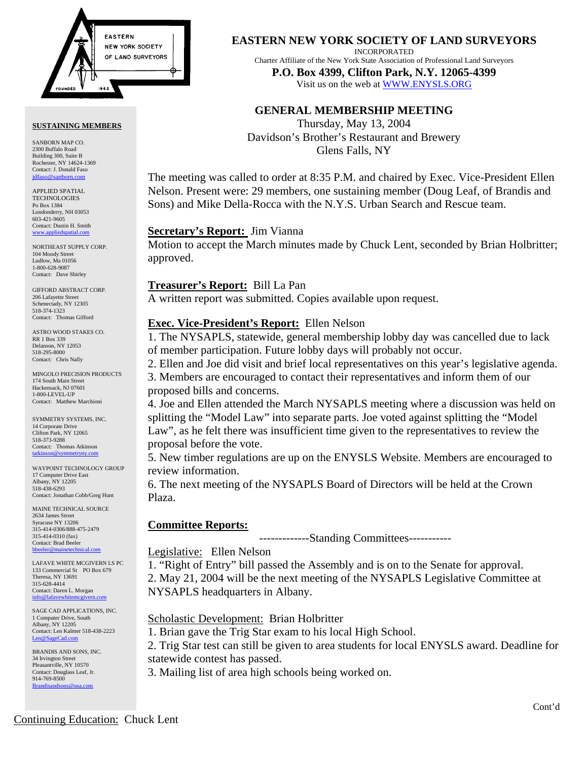

#### **SUSTAINING MEMBERS**

SANBORN MAP CO. 2300 Buffalo Road Building 300, Suite B Rochester, NY 14624-1369 Contact: J. Donald Faso jdfaso@sanborn

APPLIED SPATIAL **TECHNOLOGIES** Po Box 1384 Londonderry, NH 03053 603-421-9605 Contact: Dustin H. Smith <www.appliedspatial.com>

NORTHEAST SUPPLY CORP. 104 Moody Street Ludlow, Ma 01056 1-800-628-9087 Contact: Dave Shirley

GIFFORD ABSTRACT CORP. 206 Lafayette Street Schenectady, NY 12305 518-374-1323 Contact: Thomas Gifford

ASTRO WOOD STAKES CO. RR 1 Box 339 Delanson, NY 12053 518-295-8000 Contact: Chris Nally

MINGOLO PRECISION PRODUCTS 174 South Main Street Hackensack, NJ 07601 1-800-LEVEL-UP Contact: Matthew Marchioni

SYMMETRY SYSTEMS, INC. 14 Corporate Drive Clifton Park, NY 12065 518-373-9288 Contact: Thomas Atkinson  $t$ atkinson@symm

WAYPOINT TECHNOLOGY GROUP 17 Computer Drive East Albany, NY 12205 518-438-6293 Contact: Jonathan Cobb/Greg Hunt

MAINE TECHNICAL SOURCE 2634 James Street Syracuse NY 13206 315-414-0306/888-475-2479 315-414-0310 (fax) Contact: Brad Beeler bbeeler@m

LAFAVE WHITE MCGIVERN LS PC 133 Commercial St PO Box 679 Theresa, NY 13691 315-628-4414 Contact: Daren L. Morgan info@lafavewhitem

SAGE CAD APPLICATIONS, INC. 1 Computer Drive, South Albany, NY 12205 Contact: Len Kalmer 518-438-2223 [Len@SageCad.com](MAILTO:Len@SageCad.com)

BRANDIS AND SONS, INC. 34 Irvington Street Pleasantville, NY 10570 Contact: Douglass Leaf, Jr. 914-769-8500 [Brandisandsons@usa.com](MAILTO:brandisandsons@usa.com)

**EASTERN NEW YORK SOCIETY OF LAND SURVEYORS**

INCORPORATED

Charter Affiliate of the New York State Association of Professional Land Surveyors **P.O. Box 4399, Clifton Park, N.Y. 12065-4399** 

Visit us on the web a[t WWW.ENYSLS.ORG](www.enysls.org)

# **GENERAL MEMBERSHIP MEETING**

Thursday, May 13, 2004 Davidson's Brother's Restaurant and Brewery Glens Falls, NY

The meeting was called to order at 8:35 P.M. and chaired by Exec. Vice-President Ellen Nelson. Present were: 29 members, one sustaining member (Doug Leaf, of Brandis and Sons) and Mike Della-Rocca with the N.Y.S. Urban Search and Rescue team.

## **Secretary's Report:** Jim Vianna

Motion to accept the March minutes made by Chuck Lent, seconded by Brian Holbritter; approved.

## **Treasurer's Report:** Bill La Pan

A written report was submitted. Copies available upon request.

# **Exec. Vice-President's Report:** Ellen Nelson

1. The NYSAPLS, statewide, general membership lobby day was cancelled due to lack of member participation. Future lobby days will probably not occur.

2. Ellen and Joe did visit and brief local representatives on this year's legislative agenda.

3. Members are encouraged to contact their representatives and inform them of our proposed bills and concerns.

4. Joe and Ellen attended the March NYSAPLS meeting where a discussion was held on splitting the "Model Law" into separate parts. Joe voted against splitting the "Model Law", as he felt there was insufficient time given to the representatives to review the proposal before the vote.

5. New timber regulations are up on the ENYSLS Website. Members are encouraged to review information.

6. The next meeting of the NYSAPLS Board of Directors will be held at the Crown Plaza.

# **Committee Reports:**

-------------Standing Committees-----------

## Legislative: Ellen Nelson

1. "Right of Entry" bill passed the Assembly and is on to the Senate for approval. 2. May 21, 2004 will be the next meeting of the NYSAPLS Legislative Committee at NYSAPLS headquarters in Albany.

Scholastic Development: Brian Holbritter

1. Brian gave the Trig Star exam to his local High School.

2. Trig Star test can still be given to area students for local ENYSLS award. Deadline for statewide contest has passed.

3. Mailing list of area high schools being worked on.